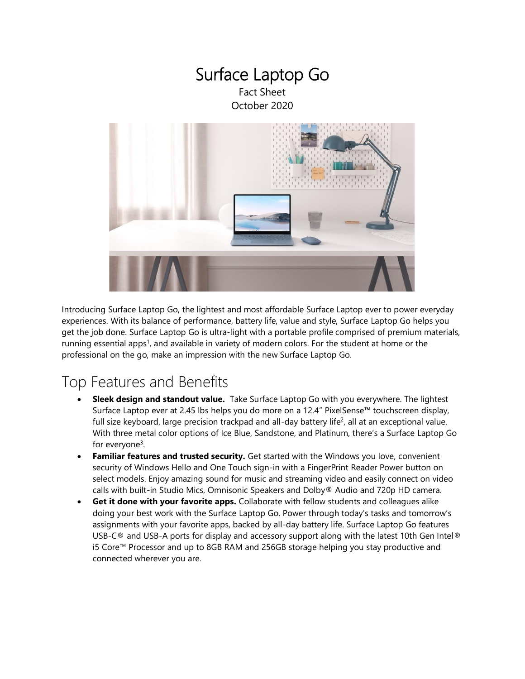### Surface Laptop Go Fact Sheet October 2020



Introducing Surface Laptop Go, the lightest and most affordable Surface Laptop ever to power everyday experiences. With its balance of performance, battery life, value and style, Surface Laptop Go helps you get the job done. Surface Laptop Go is ultra-light with a portable profile comprised of premium materials, running essential apps<sup>1</sup>, and available in variety of modern colors. For the student at home or the professional on the go, make an impression with the new Surface Laptop Go.

## Top Features and Benefits

- **Sleek design and standout value.** Take Surface Laptop Go with you everywhere. The lightest Surface Laptop ever at 2.45 lbs helps you do more on a 12.4" PixelSense™ touchscreen display, full size keyboard, large precision trackpad and all-day battery life<sup>2</sup>, all at an exceptional value. With three metal color options of Ice Blue, Sandstone, and Platinum, there's a Surface Laptop Go for everyone<sup>3</sup>.
- <span id="page-0-0"></span>**• Familiar features and trusted security.** Get started with the Windows you love, convenient security of Windows Hello and One Touch sign-in with a FingerPrint Reader Power button on select models. Enjoy amazing sound for music and streaming video and easily connect on video calls with built-in Studio Mics, Omnisonic Speakers and Dolby® Audio and 720p HD camera.
- **Get it done with your favorite apps.** Collaborate with fellow students and colleagues alike doing your best work with the Surface Laptop Go. Power through today's tasks and tomorrow's assignments with your favorite apps, backed by all-day battery life. Surface Laptop Go features USB-C<sup>®</sup> and USB-A ports for display and accessory support along with the latest 10th Gen Intel<sup>®</sup> i5 Core™ Processor and up to 8GB RAM and 256GB storage helping you stay productive and connected wherever you are.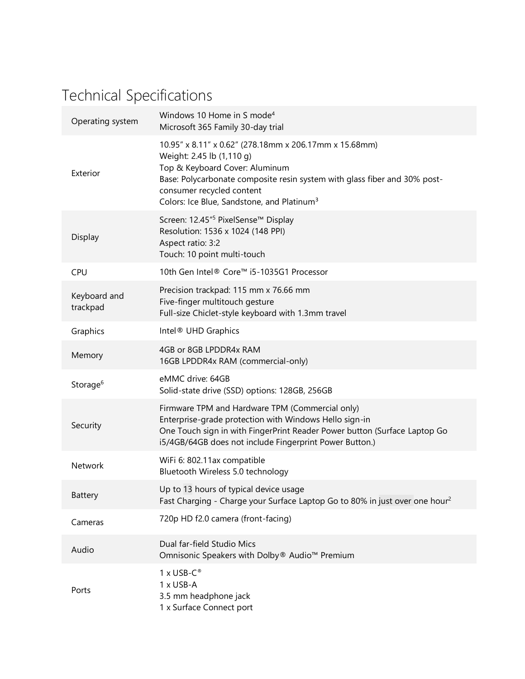# Technical Specifications

| Operating system         | Windows 10 Home in S mode <sup>4</sup><br>Microsoft 365 Family 30-day trial                                                                                                                                                                                                               |
|--------------------------|-------------------------------------------------------------------------------------------------------------------------------------------------------------------------------------------------------------------------------------------------------------------------------------------|
| Exterior                 | 10.95" x 8.11" x 0.62" (278.18mm x 206.17mm x 15.68mm)<br>Weight: 2.45 lb (1,110 g)<br>Top & Keyboard Cover: Aluminum<br>Base: Polycarbonate composite resin system with glass fiber and 30% post-<br>consumer recycled content<br>Colors: Ice Blue, Sandstone, and Platinum <sup>3</sup> |
| Display                  | Screen: 12.45" <sup>5</sup> PixelSense™ Display<br>Resolution: 1536 x 1024 (148 PPI)<br>Aspect ratio: 3:2<br>Touch: 10 point multi-touch                                                                                                                                                  |
| CPU                      | 10th Gen Intel® Core™ i5-1035G1 Processor                                                                                                                                                                                                                                                 |
| Keyboard and<br>trackpad | Precision trackpad: 115 mm x 76.66 mm<br>Five-finger multitouch gesture<br>Full-size Chiclet-style keyboard with 1.3mm travel                                                                                                                                                             |
| Graphics                 | Intel <sup>®</sup> UHD Graphics                                                                                                                                                                                                                                                           |
| Memory                   | 4GB or 8GB LPDDR4x RAM<br>16GB LPDDR4x RAM (commercial-only)                                                                                                                                                                                                                              |
| Storage <sup>6</sup>     | eMMC drive: 64GB<br>Solid-state drive (SSD) options: 128GB, 256GB                                                                                                                                                                                                                         |
| Security                 | Firmware TPM and Hardware TPM (Commercial only)<br>Enterprise-grade protection with Windows Hello sign-in<br>One Touch sign in with FingerPrint Reader Power button (Surface Laptop Go<br>i5/4GB/64GB does not include Fingerprint Power Button.)                                         |
| Network                  | WiFi 6: 802.11ax compatible<br>Bluetooth Wireless 5.0 technology                                                                                                                                                                                                                          |
| Battery                  | Up to 13 hours of typical device usage<br>Fast Charging - Charge your Surface Laptop Go to 80% in just over one hour <sup>2</sup>                                                                                                                                                         |
| Cameras                  | 720p HD f2.0 camera (front-facing)                                                                                                                                                                                                                                                        |
| Audio                    | Dual far-field Studio Mics<br>Omnisonic Speakers with Dolby® Audio™ Premium                                                                                                                                                                                                               |
| Ports                    | $1 \times$ USB-C®<br>1 x USB-A<br>3.5 mm headphone jack<br>1 x Surface Connect port                                                                                                                                                                                                       |